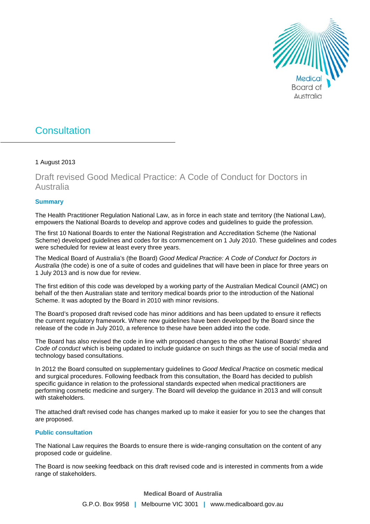

# **Consultation**

#### 1 August 2013

# Draft revised Good Medical Practice: A Code of Conduct for Doctors in Australia

#### **Summary**

The Health Practitioner Regulation National Law, as in force in each state and territory (the National Law), empowers the National Boards to develop and approve codes and guidelines to guide the profession.

The first 10 National Boards to enter the National Registration and Accreditation Scheme (the National Scheme) developed guidelines and codes for its commencement on 1 July 2010. These guidelines and codes were scheduled for review at least every three years.

The Medical Board of Australia's (the Board) *Good Medical Practice: A Code of Conduct for Doctors in Australia* (the code) is one of a suite of codes and guidelines that will have been in place for three years on 1 July 2013 and is now due for review.

The first edition of this code was developed by a working party of the Australian Medical Council (AMC) on behalf of the then Australian state and territory medical boards prior to the introduction of the National Scheme. It was adopted by the Board in 2010 with minor revisions.

The Board's proposed draft revised code has minor additions and has been updated to ensure it reflects the current regulatory framework. Where new guidelines have been developed by the Board since the release of the code in July 2010, a reference to these have been added into the code.

The Board has also revised the code in line with proposed changes to the other National Boards' shared *Code of conduct* which is being updated to include guidance on such things as the use of social media and technology based consultations.

In 2012 the Board consulted on supplementary guidelines to *Good Medical Practice* on cosmetic medical and surgical procedures. Following feedback from this consultation, the Board has decided to publish specific guidance in relation to the professional standards expected when medical practitioners are performing cosmetic medicine and surgery. The Board will develop the guidance in 2013 and will consult with stakeholders.

The attached draft revised code has changes marked up to make it easier for you to see the changes that are proposed.

#### **Public consultation**

The National Law requires the Boards to ensure there is wide-ranging consultation on the content of any proposed code or guideline.

The Board is now seeking feedback on this draft revised code and is interested in comments from a wide range of stakeholders.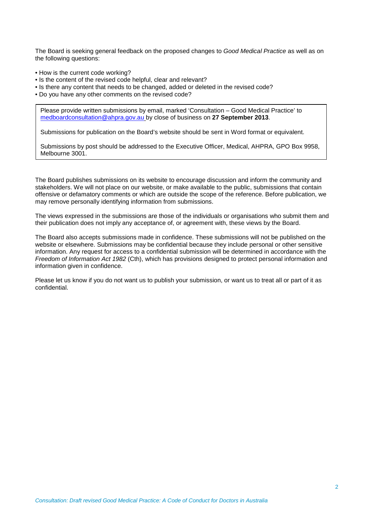The Board is seeking general feedback on the proposed changes to *Good Medical Practice* as well as on the following questions:

- How is the current code working?
- Is the content of the revised code helpful, clear and relevant?
- Is there any content that needs to be changed, added or deleted in the revised code?
- Do you have any other comments on the revised code?

Please provide written submissions by email, marked 'Consultation – Good Medical Practice' to [medboardconsultation@ahpra.gov.au](mailto:medboardconsultation@ahpra.gov.au) by close of business on **27 September 2013**.

Submissions for publication on the Board's website should be sent in Word format or equivalent.

Submissions by post should be addressed to the Executive Officer, Medical, AHPRA, GPO Box 9958, Melbourne 3001.

The Board publishes submissions on its website to encourage discussion and inform the community and stakeholders. We will not place on our website, or make available to the public, submissions that contain offensive or defamatory comments or which are outside the scope of the reference. Before publication, we may remove personally identifying information from submissions.

The views expressed in the submissions are those of the individuals or organisations who submit them and their publication does not imply any acceptance of, or agreement with, these views by the Board.

The Board also accepts submissions made in confidence. These submissions will not be published on the website or elsewhere. Submissions may be confidential because they include personal or other sensitive information. Any request for access to a confidential submission will be determined in accordance with the *Freedom of Information Act 1982* (Cth), which has provisions designed to protect personal information and information given in confidence.

Please let us know if you do not want us to publish your submission, or want us to treat all or part of it as confidential.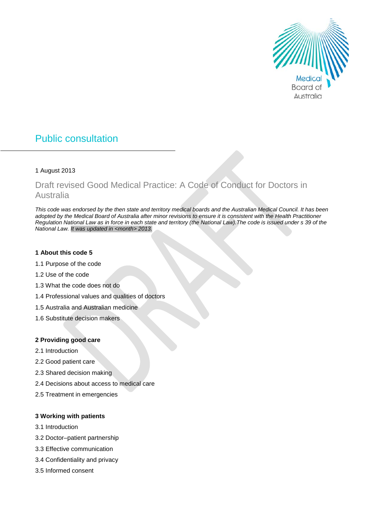

# Public consultation

#### 1 August 2013

# Draft revised Good Medical Practice: A Code of Conduct for Doctors in Australia

*This code was endorsed by the then state and territory medical boards and the Australian Medical Council. It has been adopted by the Medical Board of Australia after minor revisions to ensure it is consistent with the Health Practitioner Regulation National Law as in force in each state and territory (the National Law).The code is issued under s 39 of the National Law. It was updated in <month> 2013.*

#### **1 About this code 5**

- 1.1 Purpose of the code
- 1.2 Use of the code
- 1.3 What the code does not do
- 1.4 Professional values and qualities of doctors
- 1.5 Australia and Australian medicine
- 1.6 Substitute decision makers

#### **2 Providing good care**

- 2.1 Introduction
- 2.2 Good patient care
- 2.3 Shared decision making
- 2.4 Decisions about access to medical care
- 2.5 Treatment in emergencies

#### **3 Working with patients**

- 3.1 Introduction
- 3.2 Doctor–patient partnership
- 3.3 Effective communication
- 3.4 Confidentiality and privacy
- 3.5 Informed consent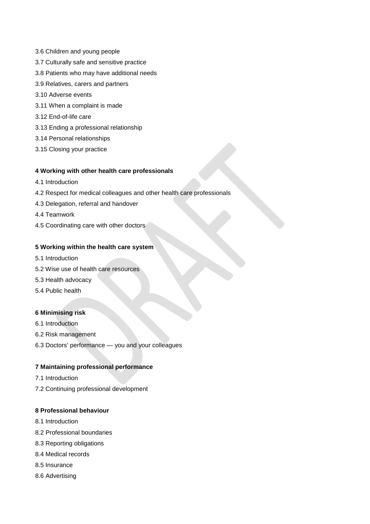- 3.6 Children and young people
- 3.7 Culturally safe and sensitive practice
- 3.8 Patients who may have additional needs
- 3.9 Relatives, carers and partners
- 3.10 Adverse events
- 3.11 When a complaint is made
- 3.12 End-of-life care
- 3.13 Ending a professional relationship
- 3.14 Personal relationships
- 3.15 Closing your practice

#### **4 Working with other health care professionals**

- 4.1 Introduction
- 4.2 Respect for medical colleagues and other health care professionals
- 4.3 Delegation, referral and handover
- 4.4 Teamwork
- 4.5 Coordinating care with other doctors

#### **5 Working within the health care system**

- 5.1 Introduction
- 5.2 Wise use of health care resources
- 5.3 Health advocacy
- 5.4 Public health

#### **6 Minimising risk**

- 6.1 Introduction
- 6.2 Risk management
- 6.3 Doctors' performance you and your colleagues

#### **7 Maintaining professional performance**

- 7.1 Introduction
- 7.2 Continuing professional development

#### **8 Professional behaviour**

- 8.1 Introduction
- 8.2 Professional boundaries
- 8.3 Reporting obligations
- 8.4 Medical records
- 8.5 Insurance
- 8.6 Advertising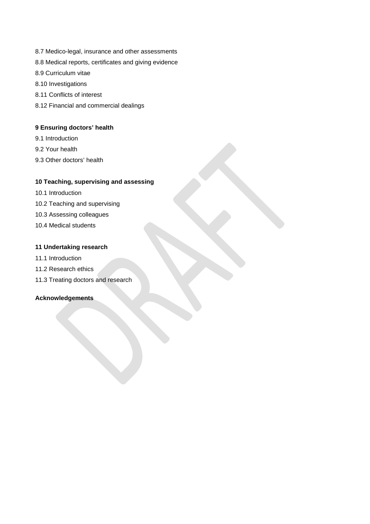- 8.7 Medico-legal, insurance and other assessments
- 8.8 Medical reports, certificates and giving evidence
- 8.9 Curriculum vitae
- 8.10 Investigations
- 8.11 Conflicts of interest
- 8.12 Financial and commercial dealings

#### **9 Ensuring doctors' health**

- 9.1 Introduction
- 9.2 Your health
- 9.3 Other doctors' health

#### **10 Teaching, supervising and assessing**

- 10.1 Introduction
- 10.2 Teaching and supervising
- 10.3 Assessing colleagues
- 10.4 Medical students

#### **11 Undertaking research**

- 11.1 Introduction
- 11.2 Research ethics
- 11.3 Treating doctors and research

#### **Acknowledgements**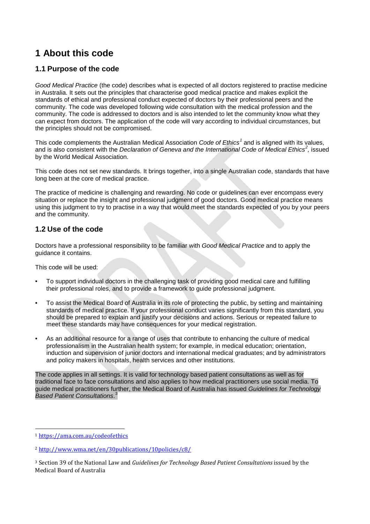# **1 About this code**

# **1.1 Purpose of the code**

*Good Medical Practice* (the code) describes what is expected of all doctors registered to practise medicine in Australia. It sets out the principles that characterise good medical practice and makes explicit the standards of ethical and professional conduct expected of doctors by their professional peers and the community. The code was developed following wide consultation with the medical profession and the community. The code is addressed to doctors and is also intended to let the community know what they can expect from doctors. The application of the code will vary according to individual circumstances, but the principles should not be compromised.

This code complements the Australian Medical Association *Code of Ethics[1](#page-5-0)* and is aligned with its values, and is also consistent with the *Declaration of Geneva and the International Code of Medical Ethics[2](#page-5-1) ,* issued by the World Medical Association.

This code does not set new standards. It brings together, into a single Australian code, standards that have long been at the core of medical practice.

The practice of medicine is challenging and rewarding. No code or guidelines can ever encompass every situation or replace the insight and professional judgment of good doctors. Good medical practice means using this judgment to try to practise in a way that would meet the standards expected of you by your peers and the community.

# **1.2 Use of the code**

Doctors have a professional responsibility to be familiar with *Good Medical Practice* and to apply the guidance it contains.

This code will be used:

- To support individual doctors in the challenging task of providing good medical care and fulfilling their professional roles, and to provide a framework to guide professional judgment.
- To assist the Medical Board of Australia in its role of protecting the public, by setting and maintaining standards of medical practice. If your professional conduct varies significantly from this standard, you should be prepared to explain and justify your decisions and actions. Serious or repeated failure to meet these standards may have consequences for your medical registration.
- As an additional resource for a range of uses that contribute to enhancing the culture of medical professionalism in the Australian health system; for example, in medical education; orientation, induction and supervision of junior doctors and international medical graduates; and by administrators and policy makers in hospitals, health services and other institutions.

The code applies in all settings. It is valid for technology based patient consultations as well as for traditional face to face consultations and also applies to how medical practitioners use social media. To guide medical practitioners further, the Medical Board of Australia has issued *Guidelines for Technology Based Patient Consultations*. [3](#page-5-2)

<span id="page-5-0"></span> <sup>1</sup> <https://ama.com.au/codeofethics>

<span id="page-5-1"></span><sup>2</sup> <http://www.wma.net/en/30publications/10policies/c8/>

<span id="page-5-2"></span><sup>3</sup> Section 39 of the National Law and *Guidelines for Technology Based Patient Consultations* issued by the Medical Board of Australia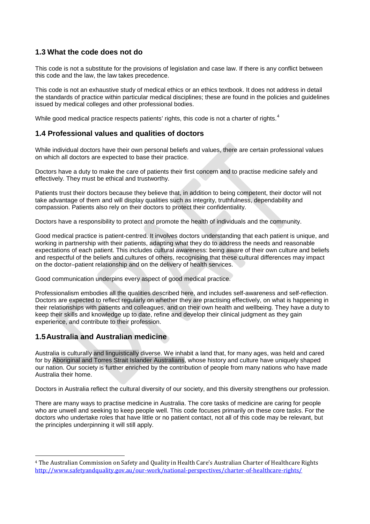### **1.3 What the code does not do**

This code is not a substitute for the provisions of legislation and case law. If there is any conflict between this code and the law, the law takes precedence.

This code is not an exhaustive study of medical ethics or an ethics textbook. It does not address in detail the standards of practice within particular medical disciplines; these are found in the policies and guidelines issued by medical colleges and other professional bodies.

While good medical practice respects patients' rights, this code is not a charter of rights.<sup>[4](#page-6-0)</sup>

### **1.4 Professional values and qualities of doctors**

While individual doctors have their own personal beliefs and values, there are certain professional values on which all doctors are expected to base their practice.

Doctors have a duty to make the care of patients their first concern and to practise medicine safely and effectively. They must be ethical and trustworthy.

Patients trust their doctors because they believe that, in addition to being competent, their doctor will not take advantage of them and will display qualities such as integrity, truthfulness, dependability and compassion. Patients also rely on their doctors to protect their confidentiality.

Doctors have a responsibility to protect and promote the health of individuals and the community.

Good medical practice is patient-centred. It involves doctors understanding that each patient is unique, and working in partnership with their patients, adapting what they do to address the needs and reasonable expectations of each patient. This includes cultural awareness: being aware of their own culture and beliefs and respectful of the beliefs and cultures of others, recognising that these cultural differences may impact on the doctor–patient relationship and on the delivery of health services.

Good communication underpins every aspect of good medical practice.

Professionalism embodies all the qualities described here, and includes self-awareness and self-reflection. Doctors are expected to reflect regularly on whether they are practising effectively, on what is happening in their relationships with patients and colleagues, and on their own health and wellbeing. They have a duty to keep their skills and knowledge up to date, refine and develop their clinical judgment as they gain experience, and contribute to their profession.

### **1.5Australia and Australian medicine**

Australia is culturally and linguistically diverse. We inhabit a land that, for many ages, was held and cared for by Aboriginal and Torres Strait Islander Australians, whose history and culture have uniquely shaped our nation. Our society is further enriched by the contribution of people from many nations who have made Australia their home.

Doctors in Australia reflect the cultural diversity of our society, and this diversity strengthens our profession.

There are many ways to practise medicine in Australia. The core tasks of medicine are caring for people who are unwell and seeking to keep people well. This code focuses primarily on these core tasks. For the doctors who undertake roles that have little or no patient contact, not all of this code may be relevant, but the principles underpinning it will still apply.

<span id="page-6-0"></span> <sup>4</sup> The Australian Commission on Safety and Quality in Health Care's Australian Charter of Healthcare Rights <http://www.safetyandquality.gov.au/our-work/national-perspectives/charter-of-healthcare-rights/>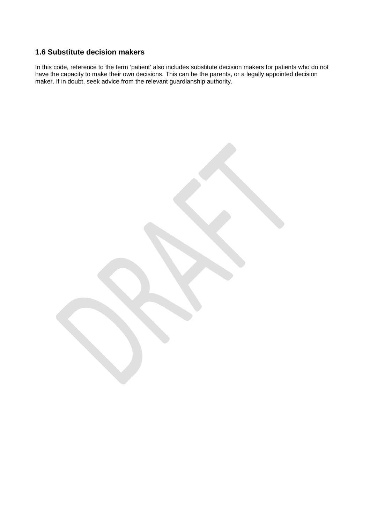# **1.6 Substitute decision makers**

In this code, reference to the term 'patient' also includes substitute decision makers for patients who do not have the capacity to make their own decisions. This can be the parents, or a legally appointed decision maker. If in doubt, seek advice from the relevant guardianship authority.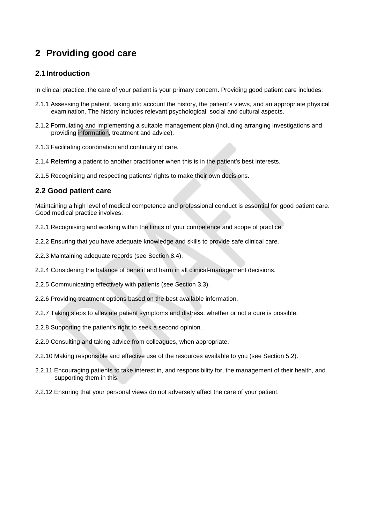# **2 Providing good care**

## **2.1Introduction**

In clinical practice, the care of your patient is your primary concern. Providing good patient care includes:

- 2.1.1 Assessing the patient, taking into account the history, the patient's views, and an appropriate physical examination. The history includes relevant psychological, social and cultural aspects.
- 2.1.2 Formulating and implementing a suitable management plan (including arranging investigations and providing information, treatment and advice).
- 2.1.3 Facilitating coordination and continuity of care.
- 2.1.4 Referring a patient to another practitioner when this is in the patient's best interests.
- 2.1.5 Recognising and respecting patients' rights to make their own decisions.

# **2.2 Good patient care**

Maintaining a high level of medical competence and professional conduct is essential for good patient care. Good medical practice involves:

- 2.2.1 Recognising and working within the limits of your competence and scope of practice.
- 2.2.2 Ensuring that you have adequate knowledge and skills to provide safe clinical care.
- 2.2.3 Maintaining adequate records (see Section 8.4).
- 2.2.4 Considering the balance of benefit and harm in all clinical-management decisions.
- 2.2.5 Communicating effectively with patients (see Section 3.3).
- 2.2.6 Providing treatment options based on the best available information.
- 2.2.7 Taking steps to alleviate patient symptoms and distress, whether or not a cure is possible.
- 2.2.8 Supporting the patient's right to seek a second opinion.
- 2.2.9 Consulting and taking advice from colleagues, when appropriate.
- 2.2.10 Making responsible and effective use of the resources available to you (see Section 5.2).
- 2.2.11 Encouraging patients to take interest in, and responsibility for, the management of their health, and supporting them in this.
- 2.2.12 Ensuring that your personal views do not adversely affect the care of your patient.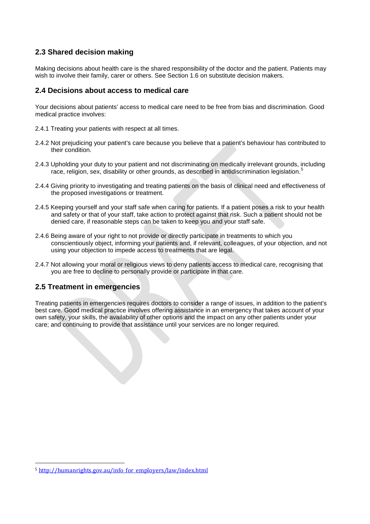## **2.3 Shared decision making**

Making decisions about health care is the shared responsibility of the doctor and the patient. Patients may wish to involve their family, carer or others. See Section 1.6 on substitute decision makers.

#### **2.4 Decisions about access to medical care**

Your decisions about patients' access to medical care need to be free from bias and discrimination. Good medical practice involves:

- 2.4.1 Treating your patients with respect at all times.
- 2.4.2 Not prejudicing your patient's care because you believe that a patient's behaviour has contributed to their condition.
- 2.4.3 Upholding your duty to your patient and not discriminating on medically irrelevant grounds, including race, religion, sex, disability or other grounds, as described in antidiscrimination legislation.<sup>[5](#page-9-0)</sup>
- 2.4.4 Giving priority to investigating and treating patients on the basis of clinical need and effectiveness of the proposed investigations or treatment.
- 2.4.5 Keeping yourself and your staff safe when caring for patients. If a patient poses a risk to your health and safety or that of your staff, take action to protect against that risk. Such a patient should not be denied care, if reasonable steps can be taken to keep you and your staff safe.
- 2.4.6 Being aware of your right to not provide or directly participate in treatments to which you conscientiously object, informing your patients and, if relevant, colleagues, of your objection, and not using your objection to impede access to treatments that are legal.
- 2.4.7 Not allowing your moral or religious views to deny patients access to medical care, recognising that you are free to decline to personally provide or participate in that care.

### **2.5 Treatment in emergencies**

Treating patients in emergencies requires doctors to consider a range of issues, in addition to the patient's best care. Good medical practice involves offering assistance in an emergency that takes account of your own safety, your skills, the availability of other options and the impact on any other patients under your care; and continuing to provide that assistance until your services are no longer required.

<span id="page-9-0"></span> <sup>5</sup> [http://humanrights.gov.au/info\\_for\\_employers/law/index.html](http://humanrights.gov.au/info_for_employers/law/index.html)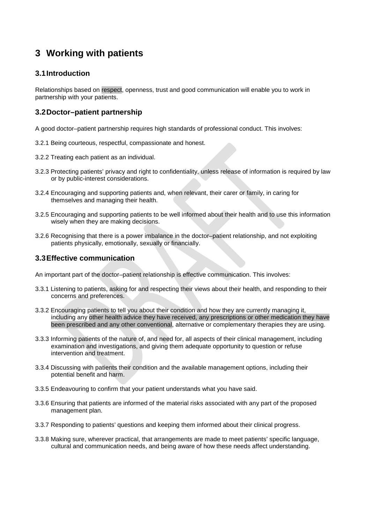# **3 Working with patients**

### **3.1Introduction**

Relationships based on respect, openness, trust and good communication will enable you to work in partnership with your patients.

# **3.2Doctor–patient partnership**

A good doctor–patient partnership requires high standards of professional conduct. This involves:

- 3.2.1 Being courteous, respectful, compassionate and honest.
- 3.2.2 Treating each patient as an individual.
- 3.2.3 Protecting patients' privacy and right to confidentiality, unless release of information is required by law or by public-interest considerations.
- 3.2.4 Encouraging and supporting patients and, when relevant, their carer or family, in caring for themselves and managing their health.
- 3.2.5 Encouraging and supporting patients to be well informed about their health and to use this information wisely when they are making decisions.
- 3.2.6 Recognising that there is a power imbalance in the doctor-patient relationship, and not exploiting patients physically, emotionally, sexually or financially.

### **3.3Effective communication**

An important part of the doctor–patient relationship is effective communication. This involves:

- 3.3.1 Listening to patients, asking for and respecting their views about their health, and responding to their concerns and preferences.
- 3.3.2 Encouraging patients to tell you about their condition and how they are currently managing it, including any other health advice they have received, any prescriptions or other medication they have been prescribed and any other conventional, alternative or complementary therapies they are using.
- 3.3.3 Informing patients of the nature of, and need for, all aspects of their clinical management, including examination and investigations, and giving them adequate opportunity to question or refuse intervention and treatment.
- 3.3.4 Discussing with patients their condition and the available management options, including their potential benefit and harm.
- 3.3.5 Endeavouring to confirm that your patient understands what you have said.
- 3.3.6 Ensuring that patients are informed of the material risks associated with any part of the proposed management plan.
- 3.3.7 Responding to patients' questions and keeping them informed about their clinical progress.
- 3.3.8 Making sure, wherever practical, that arrangements are made to meet patients' specific language, cultural and communication needs, and being aware of how these needs affect understanding.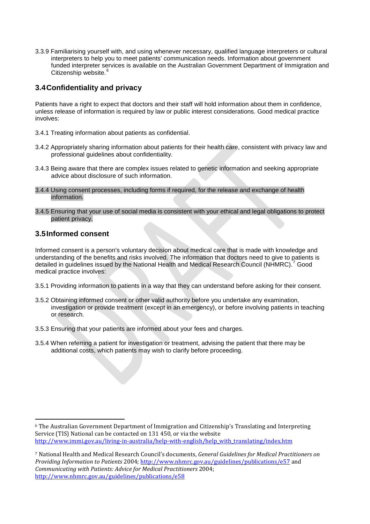3.3.9 Familiarising yourself with, and using whenever necessary, qualified language interpreters or cultural interpreters to help you to meet patients' communication needs. Information about government funded interpreter services is available on the Australian Government Department of Immigration and Citizenship website.<sup>[6](#page-11-0)</sup>

### **3.4Confidentiality and privacy**

Patients have a right to expect that doctors and their staff will hold information about them in confidence, unless release of information is required by law or public interest considerations. Good medical practice involves:

- 3.4.1 Treating information about patients as confidential.
- 3.4.2 Appropriately sharing information about patients for their health care, consistent with privacy law and professional guidelines about confidentiality.
- 3.4.3 Being aware that there are complex issues related to genetic information and seeking appropriate advice about disclosure of such information.
- 3.4.4 Using consent processes, including forms if required, for the release and exchange of health information.
- 3.4.5 Ensuring that your use of social media is consistent with your ethical and legal obligations to protect patient privacy.

#### **3.5Informed consent**

Informed consent is a person's voluntary decision about medical care that is made with knowledge and understanding of the benefits and risks involved. The information that doctors need to give to patients is detailed in guidelines issued by the National Health and Medical Research Council (NHMRC).<sup>[7](#page-11-1)</sup> Good medical practice involves:

- 3.5.1 Providing information to patients in a way that they can understand before asking for their consent.
- 3.5.2 Obtaining informed consent or other valid authority before you undertake any examination, investigation or provide treatment (except in an emergency), or before involving patients in teaching or research.
- 3.5.3 Ensuring that your patients are informed about your fees and charges.
- 3.5.4 When referring a patient for investigation or treatment, advising the patient that there may be additional costs, which patients may wish to clarify before proceeding.

<span id="page-11-0"></span> <sup>6</sup> The Australian Government Department of Immigration and Citizenship's Translating and Interpreting Service (TIS) National can be contacted on 131 450, or via the website [http://www.immi.gov.au/living-in-australia/help-with-english/help\\_with\\_translating/index.htm](http://www.immi.gov.au/living-in-australia/help-with-english/help_with_translating/index.htm)

<span id="page-11-1"></span><sup>7</sup> National Health and Medical Research Council's documents, *General Guidelines for Medical Practitioners on Providing Information to Patients* 2004; <http://www.nhmrc.gov.au/guidelines/publications/e57> and *Communicating with Patients: Advice for Medical Practitioners* 2004; <http://www.nhmrc.gov.au/guidelines/publications/e58>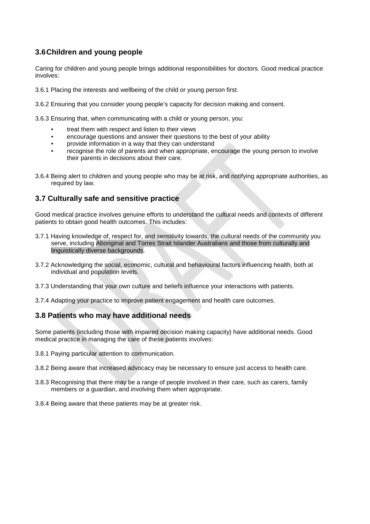# **3.6Children and young people**

Caring for children and young people brings additional responsibilities for doctors. Good medical practice involves:

3.6.1 Placing the interests and wellbeing of the child or young person first.

3.6.2 Ensuring that you consider young people's capacity for decision making and consent.

3.6.3 Ensuring that, when communicating with a child or young person, you:

- treat them with respect and listen to their views
- encourage questions and answer their questions to the best of your ability
- provide information in a way that they can understand
- recognise the role of parents and when appropriate, encourage the young person to involve their parents in decisions about their care.
- 3.6.4 Being alert to children and young people who may be at risk, and notifying appropriate authorities, as required by law.

### **3.7 Culturally safe and sensitive practice**

Good medical practice involves genuine efforts to understand the cultural needs and contexts of different patients to obtain good health outcomes. This includes:

- 3.7.1 Having knowledge of, respect for, and sensitivity towards, the cultural needs of the community you serve, including Aboriginal and Torres Strait Islander Australians and those from culturally and linguistically diverse backgrounds.
- 3.7.2 Acknowledging the social, economic, cultural and behavioural factors influencing health, both at individual and population levels.
- 3.7.3 Understanding that your own culture and beliefs influence your interactions with patients.
- 3.7.4 Adapting your practice to improve patient engagement and health care outcomes.

#### **3.8 Patients who may have additional needs**

Some patients (including those with impaired decision making capacity) have additional needs. Good medical practice in managing the care of these patients involves:

3.8.1 Paying particular attention to communication.

- 3.8.2 Being aware that increased advocacy may be necessary to ensure just access to health care.
- 3.8.3 Recognising that there may be a range of people involved in their care, such as carers, family members or a guardian, and involving them when appropriate.
- 3.8.4 Being aware that these patients may be at greater risk.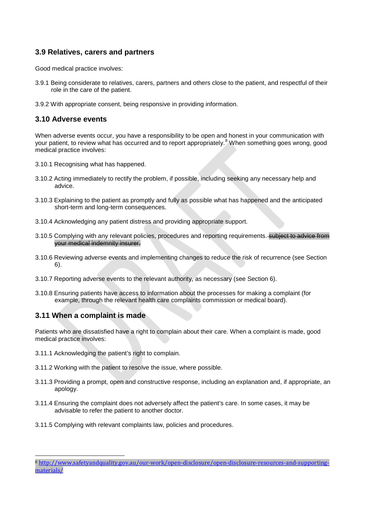#### **3.9 Relatives, carers and partners**

Good medical practice involves:

- 3.9.1 Being considerate to relatives, carers, partners and others close to the patient, and respectful of their role in the care of the patient.
- 3.9.2 With appropriate consent, being responsive in providing information.

#### **3.10 Adverse events**

When adverse events occur, you have a responsibility to be open and honest in your communication with your patient, to review what has occurred and to report appropriately.<sup>[8](#page-13-0)</sup> When something goes wrong, good medical practice involves:

- 3.10.1 Recognising what has happened.
- 3.10.2 Acting immediately to rectify the problem, if possible, including seeking any necessary help and advice.
- 3.10.3 Explaining to the patient as promptly and fully as possible what has happened and the anticipated short-term and long-term consequences.
- 3.10.4 Acknowledging any patient distress and providing appropriate support.
- 3.10.5 Complying with any relevant policies, procedures and reporting requirements. subject to advice from your medical indemnity insurer.
- 3.10.6 Reviewing adverse events and implementing changes to reduce the risk of recurrence (see Section 6).
- 3.10.7 Reporting adverse events to the relevant authority, as necessary (see Section 6).
- 3.10.8 Ensuring patients have access to information about the processes for making a complaint (for example, through the relevant health care complaints commission or medical board).

### **3.11 When a complaint is made**

Patients who are dissatisfied have a right to complain about their care. When a complaint is made, good medical practice involves:

- 3.11.1 Acknowledging the patient's right to complain.
- 3.11.2 Working with the patient to resolve the issue, where possible.
- 3.11.3 Providing a prompt, open and constructive response, including an explanation and, if appropriate, an apology.
- 3.11.4 Ensuring the complaint does not adversely affect the patient's care. In some cases, it may be advisable to refer the patient to another doctor.
- 3.11.5 Complying with relevant complaints law, policies and procedures.

<span id="page-13-0"></span> <sup>8</sup> [http://www.safetyandquality.gov.au/our-work/open-disclosure/open-disclosure-resources-and-supporting](http://www.safetyandquality.gov.au/our-work/open-disclosure/open-disclosure-resources-and-supporting-materials/)[materials/](http://www.safetyandquality.gov.au/our-work/open-disclosure/open-disclosure-resources-and-supporting-materials/)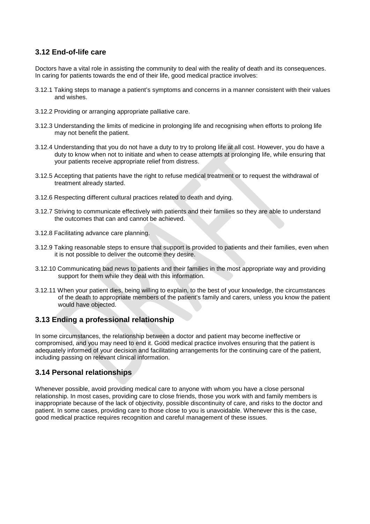#### **3.12 End-of-life care**

Doctors have a vital role in assisting the community to deal with the reality of death and its consequences. In caring for patients towards the end of their life, good medical practice involves:

- 3.12.1 Taking steps to manage a patient's symptoms and concerns in a manner consistent with their values and wishes.
- 3.12.2 Providing or arranging appropriate palliative care.
- 3.12.3 Understanding the limits of medicine in prolonging life and recognising when efforts to prolong life may not benefit the patient.
- 3.12.4 Understanding that you do not have a duty to try to prolong life at all cost. However, you do have a duty to know when not to initiate and when to cease attempts at prolonging life, while ensuring that your patients receive appropriate relief from distress.
- 3.12.5 Accepting that patients have the right to refuse medical treatment or to request the withdrawal of treatment already started.
- 3.12.6 Respecting different cultural practices related to death and dying.
- 3.12.7 Striving to communicate effectively with patients and their families so they are able to understand the outcomes that can and cannot be achieved.
- 3.12.8 Facilitating advance care planning.
- 3.12.9 Taking reasonable steps to ensure that support is provided to patients and their families, even when it is not possible to deliver the outcome they desire.
- 3.12.10 Communicating bad news to patients and their families in the most appropriate way and providing support for them while they deal with this information.
- 3.12.11 When your patient dies, being willing to explain, to the best of your knowledge, the circumstances of the death to appropriate members of the patient's family and carers, unless you know the patient would have objected.

# **3.13 Ending a professional relationship**

In some circumstances, the relationship between a doctor and patient may become ineffective or compromised, and you may need to end it. Good medical practice involves ensuring that the patient is adequately informed of your decision and facilitating arrangements for the continuing care of the patient, including passing on relevant clinical information.

### **3.14 Personal relationships**

Whenever possible, avoid providing medical care to anyone with whom you have a close personal relationship. In most cases, providing care to close friends, those you work with and family members is inappropriate because of the lack of objectivity, possible discontinuity of care, and risks to the doctor and patient. In some cases, providing care to those close to you is unavoidable. Whenever this is the case, good medical practice requires recognition and careful management of these issues.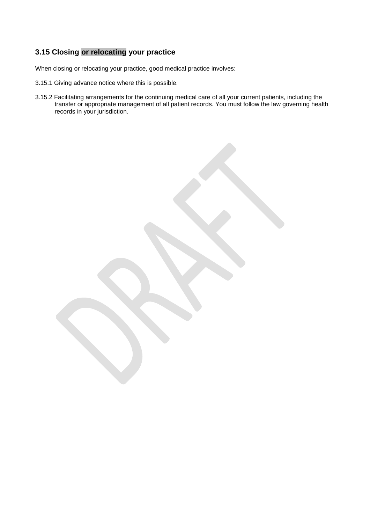# **3.15 Closing or relocating your practice**

When closing or relocating your practice, good medical practice involves:

- 3.15.1 Giving advance notice where this is possible.
- 3.15.2 Facilitating arrangements for the continuing medical care of all your current patients, including the transfer or appropriate management of all patient records. You must follow the law governing health records in your jurisdiction.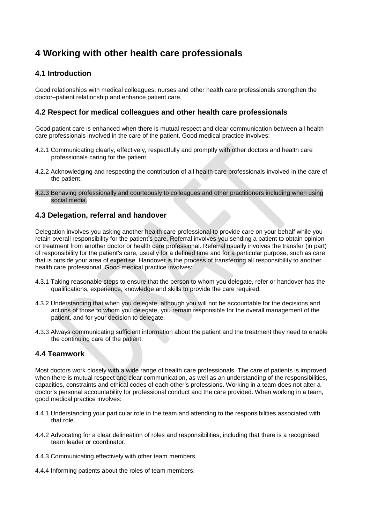# **4 Working with other health care professionals**

## **4.1 Introduction**

Good relationships with medical colleagues, nurses and other health care professionals strengthen the doctor–patient relationship and enhance patient care.

#### **4.2 Respect for medical colleagues and other health care professionals**

Good patient care is enhanced when there is mutual respect and clear communication between all health care professionals involved in the care of the patient. Good medical practice involves:

- 4.2.1 Communicating clearly, effectively, respectfully and promptly with other doctors and health care professionals caring for the patient.
- 4.2.2 Acknowledging and respecting the contribution of all health care professionals involved in the care of the patient.
- 4.2.3 Behaving professionally and courteously to colleagues and other practitioners including when using social media.

#### **4.3 Delegation, referral and handover**

Delegation involves you asking another health care professional to provide care on your behalf while you retain overall responsibility for the patient's care. Referral involves you sending a patient to obtain opinion or treatment from another doctor or health care professional. Referral usually involves the transfer (in part) of responsibility for the patient's care, usually for a defined time and for a particular purpose, such as care that is outside your area of expertise. Handover is the process of transferring all responsibility to another health care professional. Good medical practice involves:

- 4.3.1 Taking reasonable steps to ensure that the person to whom you delegate, refer or handover has the qualifications, experience, knowledge and skills to provide the care required.
- 4.3.2 Understanding that when you delegate, although you will not be accountable for the decisions and actions of those to whom you delegate, you remain responsible for the overall management of the patient, and for your decision to delegate.
- 4.3.3 Always communicating sufficient information about the patient and the treatment they need to enable the continuing care of the patient.

### **4.4 Teamwork**

Most doctors work closely with a wide range of health care professionals. The care of patients is improved when there is mutual respect and clear communication, as well as an understanding of the responsibilities, capacities, constraints and ethical codes of each other's professions. Working in a team does not alter a doctor's personal accountability for professional conduct and the care provided. When working in a team, good medical practice involves:

- 4.4.1 Understanding your particular role in the team and attending to the responsibilities associated with that role.
- 4.4.2 Advocating for a clear delineation of roles and responsibilities, including that there is a recognised team leader or coordinator.
- 4.4.3 Communicating effectively with other team members.
- 4.4.4 Informing patients about the roles of team members.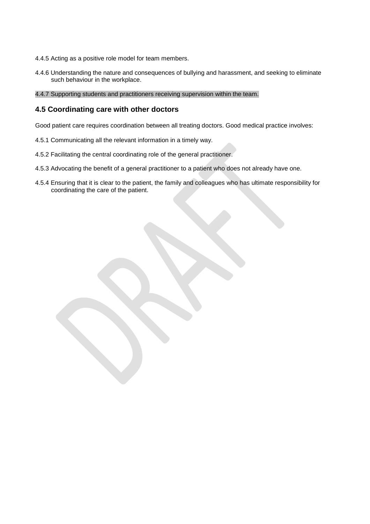- 4.4.5 Acting as a positive role model for team members.
- 4.4.6 Understanding the nature and consequences of bullying and harassment, and seeking to eliminate such behaviour in the workplace.
- 4.4.7 Supporting students and practitioners receiving supervision within the team.

#### **4.5 Coordinating care with other doctors**

Good patient care requires coordination between all treating doctors. Good medical practice involves:

- 4.5.1 Communicating all the relevant information in a timely way.
- 4.5.2 Facilitating the central coordinating role of the general practitioner.
- 4.5.3 Advocating the benefit of a general practitioner to a patient who does not already have one.
- 4.5.4 Ensuring that it is clear to the patient, the family and colleagues who has ultimate responsibility for coordinating the care of the patient.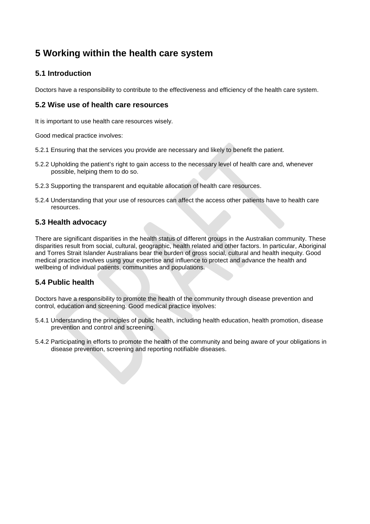# **5 Working within the health care system**

# **5.1 Introduction**

Doctors have a responsibility to contribute to the effectiveness and efficiency of the health care system.

### **5.2 Wise use of health care resources**

It is important to use health care resources wisely.

Good medical practice involves:

- 5.2.1 Ensuring that the services you provide are necessary and likely to benefit the patient.
- 5.2.2 Upholding the patient's right to gain access to the necessary level of health care and, whenever possible, helping them to do so.
- 5.2.3 Supporting the transparent and equitable allocation of health care resources.
- 5.2.4 Understanding that your use of resources can affect the access other patients have to health care resources.

#### **5.3 Health advocacy**

There are significant disparities in the health status of different groups in the Australian community. These disparities result from social, cultural, geographic, health related and other factors. In particular, Aboriginal and Torres Strait Islander Australians bear the burden of gross social, cultural and health inequity. Good medical practice involves using your expertise and influence to protect and advance the health and wellbeing of individual patients, communities and populations.

### **5.4 Public health**

Doctors have a responsibility to promote the health of the community through disease prevention and control, education and screening. Good medical practice involves:

- 5.4.1 Understanding the principles of public health, including health education, health promotion, disease prevention and control and screening.
- 5.4.2 Participating in efforts to promote the health of the community and being aware of your obligations in disease prevention, screening and reporting notifiable diseases.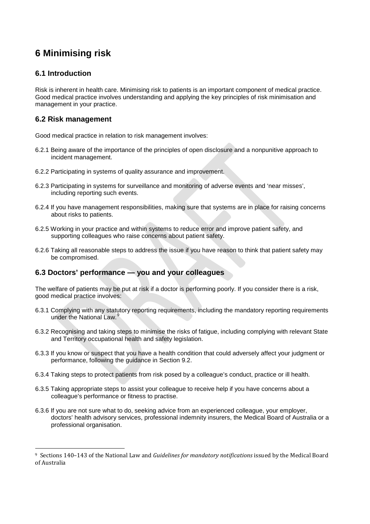# **6 Minimising risk**

# **6.1 Introduction**

Risk is inherent in health care. Minimising risk to patients is an important component of medical practice. Good medical practice involves understanding and applying the key principles of risk minimisation and management in your practice.

## **6.2 Risk management**

Good medical practice in relation to risk management involves:

- 6.2.1 Being aware of the importance of the principles of open disclosure and a nonpunitive approach to incident management.
- 6.2.2 Participating in systems of quality assurance and improvement.
- 6.2.3 Participating in systems for surveillance and monitoring of adverse events and 'near misses', including reporting such events.
- 6.2.4 If you have management responsibilities, making sure that systems are in place for raising concerns about risks to patients.
- 6.2.5 Working in your practice and within systems to reduce error and improve patient safety, and supporting colleagues who raise concerns about patient safety.
- 6.2.6 Taking all reasonable steps to address the issue if you have reason to think that patient safety may be compromised.

### **6.3 Doctors' performance — you and your colleagues**

The welfare of patients may be put at risk if a doctor is performing poorly. If you consider there is a risk, good medical practice involves:

- 6.3.1 Complying with any statutory reporting requirements, including the mandatory reporting requirements under the National Law.<sup>[9](#page-19-0)</sup>
- 6.3.2 Recognising and taking steps to minimise the risks of fatigue, including complying with relevant State and Territory occupational health and safety legislation.
- 6.3.3 If you know or suspect that you have a health condition that could adversely affect your judgment or performance, following the guidance in Section 9.2.
- 6.3.4 Taking steps to protect patients from risk posed by a colleague's conduct, practice or ill health.
- 6.3.5 Taking appropriate steps to assist your colleague to receive help if you have concerns about a colleague's performance or fitness to practise.
- 6.3.6 If you are not sure what to do, seeking advice from an experienced colleague, your employer, doctors' health advisory services, professional indemnity insurers, the Medical Board of Australia or a professional organisation.

<span id="page-19-0"></span> <sup>9</sup> Sections 140–143 of the National Law and *Guidelines for mandatory notifications* issued by the Medical Board of Australia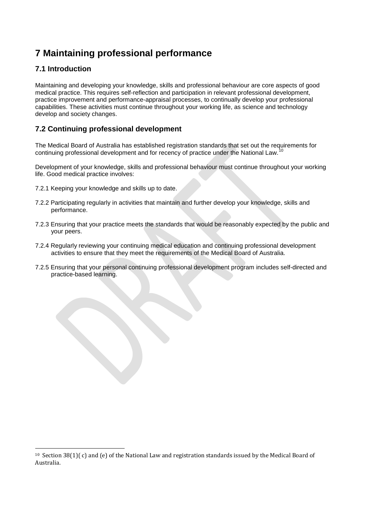# **7 Maintaining professional performance**

# **7.1 Introduction**

Maintaining and developing your knowledge, skills and professional behaviour are core aspects of good medical practice. This requires self-reflection and participation in relevant professional development, practice improvement and performance-appraisal processes, to continually develop your professional capabilities. These activities must continue throughout your working life, as science and technology develop and society changes.

# **7.2 Continuing professional development**

The Medical Board of Australia has established registration standards that set out the requirements for continuing professional development and for recency of practice under the National Law.

Development of your knowledge, skills and professional behaviour must continue throughout your working life. Good medical practice involves:

- 7.2.1 Keeping your knowledge and skills up to date.
- 7.2.2 Participating regularly in activities that maintain and further develop your knowledge, skills and performance.
- 7.2.3 Ensuring that your practice meets the standards that would be reasonably expected by the public and your peers.
- 7.2.4 Regularly reviewing your continuing medical education and continuing professional development activities to ensure that they meet the requirements of the Medical Board of Australia.
- 7.2.5 Ensuring that your personal continuing professional development program includes self-directed and practice-based learning.

<span id="page-20-0"></span><sup>&</sup>lt;sup>10</sup> Section 38(1)( c) and (e) of the National Law and registration standards issued by the Medical Board of Australia.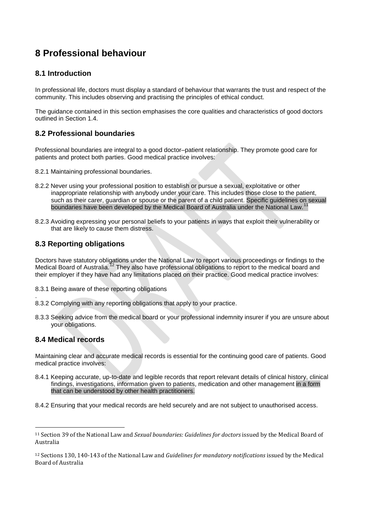# **8 Professional behaviour**

## **8.1 Introduction**

In professional life, doctors must display a standard of behaviour that warrants the trust and respect of the community. This includes observing and practising the principles of ethical conduct.

The guidance contained in this section emphasises the core qualities and characteristics of good doctors outlined in Section 1.4.

# **8.2 Professional boundaries**

Professional boundaries are integral to a good doctor–patient relationship. They promote good care for patients and protect both parties. Good medical practice involves:

- 8.2.1 Maintaining professional boundaries.
- 8.2.2 Never using your professional position to establish or pursue a sexual, exploitative or other inappropriate relationship with anybody under your care. This includes those close to the patient, such as their carer, guardian or spouse or the parent of a child patient. Specific guidelines on sexual boundaries have been developed by the Medical Board of Australia under the National Law.<sup>[11](#page-21-0)</sup>
- 8.2.3 Avoiding expressing your personal beliefs to your patients in ways that exploit their vulnerability or that are likely to cause them distress.

### **8.3 Reporting obligations**

Doctors have statutory obligations under the National Law to report various proceedings or findings to the Medical Board of Australia.<sup>[12](#page-21-1)</sup> They also have professional obligations to report to the medical board and their employer if they have had any limitations placed on their practice. Good medical practice involves:

- 8.3.1 Being aware of these reporting obligations
- . 8.3.2 Complying with any reporting obligations that apply to your practice.
- 8.3.3 Seeking advice from the medical board or your professional indemnity insurer if you are unsure about your obligations.

#### **8.4 Medical records**

Maintaining clear and accurate medical records is essential for the continuing good care of patients. Good medical practice involves:

- 8.4.1 Keeping accurate, up-to-date and legible records that report relevant details of clinical history, clinical findings, investigations, information given to patients, medication and other management in a form that can be understood by other health practitioners.
- 8.4.2 Ensuring that your medical records are held securely and are not subject to unauthorised access.

<span id="page-21-0"></span> <sup>11</sup> Section 39 of the National Law and *Sexual boundaries: Guidelines for doctors* issued by the Medical Board of Australia

<span id="page-21-1"></span><sup>12</sup> Sections 130, 140-143 of the National Law and *Guidelines for mandatory notifications* issued by the Medical Board of Australia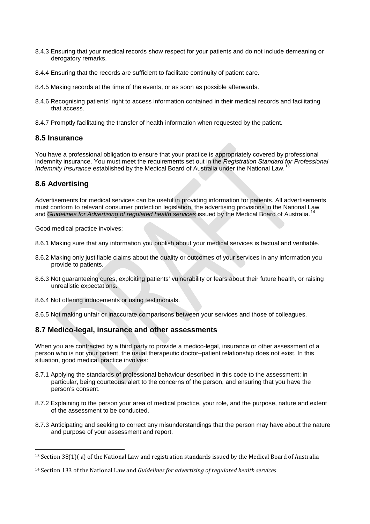- 8.4.3 Ensuring that your medical records show respect for your patients and do not include demeaning or derogatory remarks.
- 8.4.4 Ensuring that the records are sufficient to facilitate continuity of patient care.
- 8.4.5 Making records at the time of the events, or as soon as possible afterwards.
- 8.4.6 Recognising patients' right to access information contained in their medical records and facilitating that access.
- 8.4.7 Promptly facilitating the transfer of health information when requested by the patient.

#### **8.5 Insurance**

You have a professional obligation to ensure that your practice is appropriately covered by professional indemnity insurance. You must meet the requirements set out in the *Registration Standard for Professional Indemnity Insurance* established by the Medical Board of Australia under the National Law.<sup>[13](#page-22-0)</sup>

#### **8.6 Advertising**

Advertisements for medical services can be useful in providing information for patients. All advertisements must conform to relevant consumer protection legislation, the advertising provisions in the National Law and *Guidelines for Advertising of regulated health services* issued by the Medical Board of Australia.<sup>1</sup>

Good medical practice involves:

- 8.6.1 Making sure that any information you publish about your medical services is factual and verifiable.
- 8.6.2 Making only justifiable claims about the quality or outcomes of your services in any information you provide to patients.
- 8.6.3 Not guaranteeing cures, exploiting patients' vulnerability or fears about their future health, or raising unrealistic expectations.
- 8.6.4 Not offering inducements or using testimonials.
- 8.6.5 Not making unfair or inaccurate comparisons between your services and those of colleagues.

#### **8.7 Medico-legal, insurance and other assessments**

When you are contracted by a third party to provide a medico-legal, insurance or other assessment of a person who is not your patient, the usual therapeutic doctor–patient relationship does not exist. In this situation, good medical practice involves:

- 8.7.1 Applying the standards of professional behaviour described in this code to the assessment; in particular, being courteous, alert to the concerns of the person, and ensuring that you have the person's consent.
- 8.7.2 Explaining to the person your area of medical practice, your role, and the purpose, nature and extent of the assessment to be conducted.
- 8.7.3 Anticipating and seeking to correct any misunderstandings that the person may have about the nature and purpose of your assessment and report.

<span id="page-22-0"></span> <sup>13</sup> Section 38(1)( a) of the National Law and registration standards issued by the Medical Board of Australia

<span id="page-22-1"></span><sup>14</sup> Section 133 of the National Law and *Guidelines for advertising of regulated health services*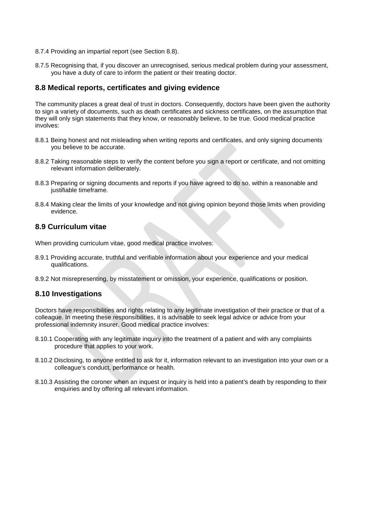- 8.7.4 Providing an impartial report (see Section 8.8).
- 8.7.5 Recognising that, if you discover an unrecognised, serious medical problem during your assessment, you have a duty of care to inform the patient or their treating doctor.

#### **8.8 Medical reports, certificates and giving evidence**

The community places a great deal of trust in doctors. Consequently, doctors have been given the authority to sign a variety of documents, such as death certificates and sickness certificates, on the assumption that they will only sign statements that they know, or reasonably believe, to be true. Good medical practice involves:

- 8.8.1 Being honest and not misleading when writing reports and certificates, and only signing documents you believe to be accurate.
- 8.8.2 Taking reasonable steps to verify the content before you sign a report or certificate, and not omitting relevant information deliberately.
- 8.8.3 Preparing or signing documents and reports if you have agreed to do so, within a reasonable and justifiable timeframe.
- 8.8.4 Making clear the limits of your knowledge and not giving opinion beyond those limits when providing evidence.

### **8.9 Curriculum vitae**

When providing curriculum vitae, good medical practice involves:

- 8.9.1 Providing accurate, truthful and verifiable information about your experience and your medical qualifications.
- 8.9.2 Not misrepresenting, by misstatement or omission, your experience, qualifications or position.

#### **8.10 Investigations**

Doctors have responsibilities and rights relating to any legitimate investigation of their practice or that of a colleague. In meeting these responsibilities, it is advisable to seek legal advice or advice from your professional indemnity insurer. Good medical practice involves:

- 8.10.1 Cooperating with any legitimate inquiry into the treatment of a patient and with any complaints procedure that applies to your work.
- 8.10.2 Disclosing, to anyone entitled to ask for it, information relevant to an investigation into your own or a colleague's conduct, performance or health.
- 8.10.3 Assisting the coroner when an inquest or inquiry is held into a patient's death by responding to their enquiries and by offering all relevant information.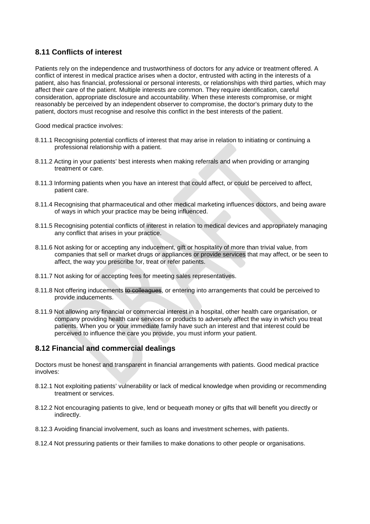## **8.11 Conflicts of interest**

Patients rely on the independence and trustworthiness of doctors for any advice or treatment offered. A conflict of interest in medical practice arises when a doctor, entrusted with acting in the interests of a patient, also has financial, professional or personal interests, or relationships with third parties, which may affect their care of the patient. Multiple interests are common. They require identification, careful consideration, appropriate disclosure and accountability. When these interests compromise, or might reasonably be perceived by an independent observer to compromise, the doctor's primary duty to the patient, doctors must recognise and resolve this conflict in the best interests of the patient.

Good medical practice involves:

- 8.11.1 Recognising potential conflicts of interest that may arise in relation to initiating or continuing a professional relationship with a patient.
- 8.11.2 Acting in your patients' best interests when making referrals and when providing or arranging treatment or care.
- 8.11.3 Informing patients when you have an interest that could affect, or could be perceived to affect, patient care.
- 8.11.4 Recognising that pharmaceutical and other medical marketing influences doctors, and being aware of ways in which your practice may be being influenced.
- 8.11.5 Recognising potential conflicts of interest in relation to medical devices and appropriately managing any conflict that arises in your practice.
- 8.11.6 Not asking for or accepting any inducement, gift or hospitality of more than trivial value, from companies that sell or market drugs or appliances or provide services that may affect, or be seen to affect, the way you prescribe for, treat or refer patients.
- 8.11.7 Not asking for or accepting fees for meeting sales representatives.
- 8.11.8 Not offering inducements to colleagues, or entering into arrangements that could be perceived to provide inducements.
- 8.11.9 Not allowing any financial or commercial interest in a hospital, other health care organisation, or company providing health care services or products to adversely affect the way in which you treat patients. When you or your immediate family have such an interest and that interest could be perceived to influence the care you provide, you must inform your patient.

### **8.12 Financial and commercial dealings**

Doctors must be honest and transparent in financial arrangements with patients. Good medical practice involves:

- 8.12.1 Not exploiting patients' vulnerability or lack of medical knowledge when providing or recommending treatment or services.
- 8.12.2 Not encouraging patients to give, lend or bequeath money or gifts that will benefit you directly or indirectly.
- 8.12.3 Avoiding financial involvement, such as loans and investment schemes, with patients.
- 8.12.4 Not pressuring patients or their families to make donations to other people or organisations.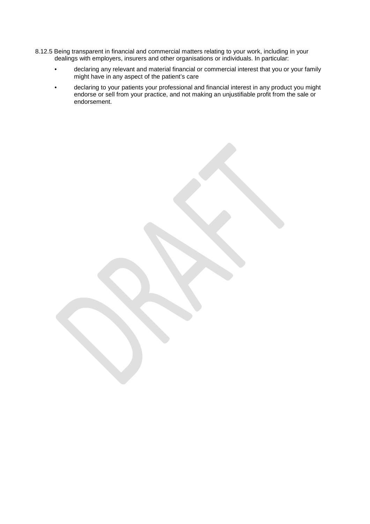- 8.12.5 Being transparent in financial and commercial matters relating to your work, including in your dealings with employers, insurers and other organisations or individuals. In particular:
	- declaring any relevant and material financial or commercial interest that you or your family might have in any aspect of the patient's care
	- declaring to your patients your professional and financial interest in any product you might endorse or sell from your practice, and not making an unjustifiable profit from the sale or endorsement.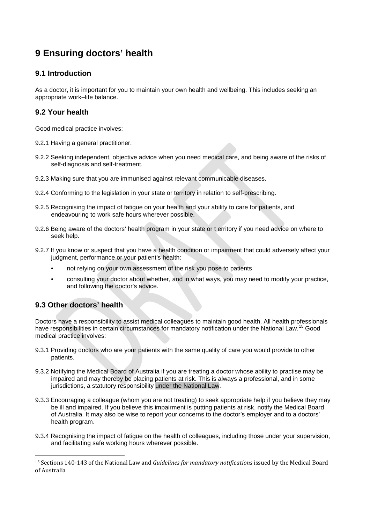# **9 Ensuring doctors' health**

## **9.1 Introduction**

As a doctor, it is important for you to maintain your own health and wellbeing. This includes seeking an appropriate work–life balance.

### **9.2 Your health**

Good medical practice involves:

- 9.2.1 Having a general practitioner.
- 9.2.2 Seeking independent, objective advice when you need medical care, and being aware of the risks of self-diagnosis and self-treatment.
- 9.2.3 Making sure that you are immunised against relevant communicable diseases.
- 9.2.4 Conforming to the legislation in your state or territory in relation to self-prescribing.
- 9.2.5 Recognising the impact of fatigue on your health and your ability to care for patients, and endeavouring to work safe hours wherever possible.
- 9.2.6 Being aware of the doctors' health program in your state or t erritory if you need advice on where to seek help.
- 9.2.7 If you know or suspect that you have a health condition or impairment that could adversely affect your judgment, performance or your patient's health:
	- not relying on your own assessment of the risk you pose to patients
	- consulting your doctor about whether, and in what ways, you may need to modify your practice, and following the doctor's advice.

# **9.3 Other doctors' health**

Doctors have a responsibility to assist medical colleagues to maintain good health. All health professionals have responsibilities in certain circumstances for mandatory notification under the National Law.<sup>[15](#page-26-0)</sup> Good medical practice involves:

- 9.3.1 Providing doctors who are your patients with the same quality of care you would provide to other patients.
- 9.3.2 Notifying the Medical Board of Australia if you are treating a doctor whose ability to practise may be impaired and may thereby be placing patients at risk. This is always a professional, and in some jurisdictions, a statutory responsibility under the National Law.
- 9.3.3 Encouraging a colleague (whom you are not treating) to seek appropriate help if you believe they may be ill and impaired. If you believe this impairment is putting patients at risk, notify the Medical Board of Australia. It may also be wise to report your concerns to the doctor's employer and to a doctors' health program.
- 9.3.4 Recognising the impact of fatigue on the health of colleagues, including those under your supervision, and facilitating safe working hours wherever possible.

<span id="page-26-0"></span> <sup>15</sup> Sections 140-143 of the National Law and *Guidelines for mandatory notifications* issued by the Medical Board of Australia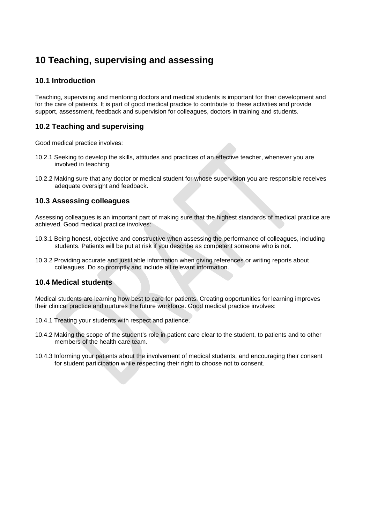# **10 Teaching, supervising and assessing**

## **10.1 Introduction**

Teaching, supervising and mentoring doctors and medical students is important for their development and for the care of patients. It is part of good medical practice to contribute to these activities and provide support, assessment, feedback and supervision for colleagues, doctors in training and students.

# **10.2 Teaching and supervising**

Good medical practice involves:

- 10.2.1 Seeking to develop the skills, attitudes and practices of an effective teacher, whenever you are involved in teaching.
- 10.2.2 Making sure that any doctor or medical student for whose supervision you are responsible receives adequate oversight and feedback.

### **10.3 Assessing colleagues**

Assessing colleagues is an important part of making sure that the highest standards of medical practice are achieved. Good medical practice involves:

- 10.3.1 Being honest, objective and constructive when assessing the performance of colleagues, including students. Patients will be put at risk if you describe as competent someone who is not.
- 10.3.2 Providing accurate and justifiable information when giving references or writing reports about colleagues. Do so promptly and include all relevant information.

#### **10.4 Medical students**

Medical students are learning how best to care for patients. Creating opportunities for learning improves their clinical practice and nurtures the future workforce. Good medical practice involves:

- 10.4.1 Treating your students with respect and patience.
- 10.4.2 Making the scope of the student's role in patient care clear to the student, to patients and to other members of the health care team.
- 10.4.3 Informing your patients about the involvement of medical students, and encouraging their consent for student participation while respecting their right to choose not to consent.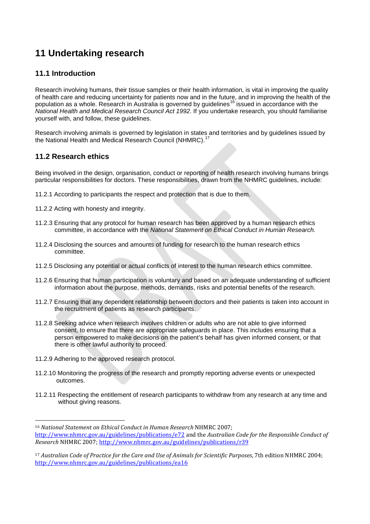# **11 Undertaking research**

# **11.1 Introduction**

Research involving humans, their tissue samples or their health information, is vital in improving the quality of health care and reducing uncertainty for patients now and in the future, and in improving the health of the population as a whole. Research in Australia is governed by guidelines<sup>[16](#page-28-0)</sup> issued in accordance with the *National Health and Medical Research Council Act 1992*. If you undertake research, you should familiarise yourself with, and follow, these guidelines.

Research involving animals is governed by legislation in states and territories and by guidelines issued by the National Health and Medical Research Council (NHMRC).<sup>[17](#page-28-1)</sup>

#### **11.2 Research ethics**

Being involved in the design, organisation, conduct or reporting of health research involving humans brings particular responsibilities for doctors. These responsibilities, drawn from the NHMRC guidelines, include:

- 11.2.1 According to participants the respect and protection that is due to them.
- 11.2.2 Acting with honesty and integrity.
- 11.2.3 Ensuring that any protocol for human research has been approved by a human research ethics committee, in accordance with the *National Statement on Ethical Conduct in Human Research.*
- 11.2.4 Disclosing the sources and amounts of funding for research to the human research ethics committee.
- 11.2.5 Disclosing any potential or actual conflicts of interest to the human research ethics committee.
- 11.2.6 Ensuring that human participation is voluntary and based on an adequate understanding of sufficient information about the purpose, methods, demands, risks and potential benefits of the research.
- 11.2.7 Ensuring that any dependent relationship between doctors and their patients is taken into account in the recruitment of patients as research participants.
- 11.2.8 Seeking advice when research involves children or adults who are not able to give informed consent, to ensure that there are appropriate safeguards in place. This includes ensuring that a person empowered to make decisions on the patient's behalf has given informed consent, or that there is other lawful authority to proceed.
- 11.2.9 Adhering to the approved research protocol.
- 11.2.10 Monitoring the progress of the research and promptly reporting adverse events or unexpected outcomes.
- 11.2.11 Respecting the entitlement of research participants to withdraw from any research at any time and without giving reasons.

<span id="page-28-0"></span> <sup>16</sup> *National Statement on Ethical Conduct in Human Research* NHMRC 2007;

<http://www.nhmrc.gov.au/guidelines/publications/e72> and the *Australian Code for the Responsible Conduct of Research* NHMRC 2007; <http://www.nhmrc.gov.au/guidelines/publications/r39>

<span id="page-28-1"></span><sup>17</sup> *Australian Code of Practice for the Care and Use of Animals for Scientific Purposes*, 7th edition NHMRC 2004; <http://www.nhmrc.gov.au/guidelines/publications/ea16>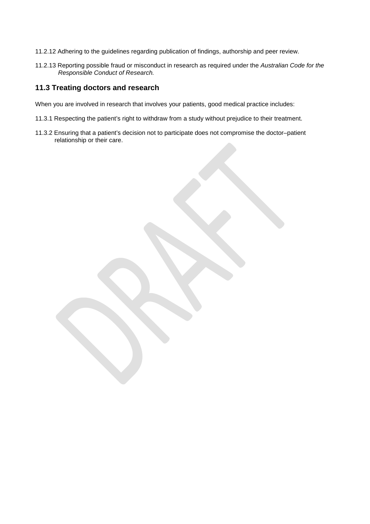- 11.2.12 Adhering to the guidelines regarding publication of findings, authorship and peer review.
- 11.2.13 Reporting possible fraud or misconduct in research as required under the *Australian Code for the Responsible Conduct of Research.*

#### **11.3 Treating doctors and research**

When you are involved in research that involves your patients, good medical practice includes:

- 11.3.1 Respecting the patient's right to withdraw from a study without prejudice to their treatment.
- 11.3.2 Ensuring that a patient's decision not to participate does not compromise the doctor–patient relationship or their care.